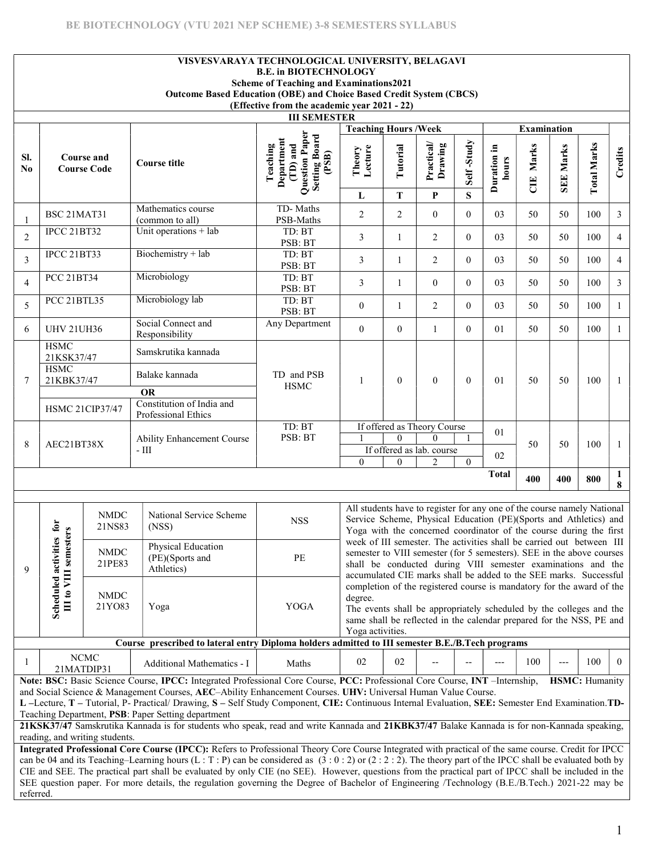|                       |                                                                                                                                                                                                                                                                                                                                                                                                                                                                                                                                                                                                                                          |                                         |  | Outcome Based Education (OBE) and Choice Based Credit System (CBCS)                                                                                                                                                                                                                                                                                                                                                                                                                                                                                                                                   | VISVESVARAYA TECHNOLOGICAL UNIVERSITY, BELAGAVI<br><b>B.E. in BIOTECHNOLOGY</b><br><b>Scheme of Teaching and Examinations2021</b><br>(Effective from the academic year 2021 - 22) |                             |                |                                                                                                                                                                                                                                                                                     |                |                      |                         |                  |                    |                   |
|-----------------------|------------------------------------------------------------------------------------------------------------------------------------------------------------------------------------------------------------------------------------------------------------------------------------------------------------------------------------------------------------------------------------------------------------------------------------------------------------------------------------------------------------------------------------------------------------------------------------------------------------------------------------------|-----------------------------------------|--|-------------------------------------------------------------------------------------------------------------------------------------------------------------------------------------------------------------------------------------------------------------------------------------------------------------------------------------------------------------------------------------------------------------------------------------------------------------------------------------------------------------------------------------------------------------------------------------------------------|-----------------------------------------------------------------------------------------------------------------------------------------------------------------------------------|-----------------------------|----------------|-------------------------------------------------------------------------------------------------------------------------------------------------------------------------------------------------------------------------------------------------------------------------------------|----------------|----------------------|-------------------------|------------------|--------------------|-------------------|
|                       |                                                                                                                                                                                                                                                                                                                                                                                                                                                                                                                                                                                                                                          |                                         |  |                                                                                                                                                                                                                                                                                                                                                                                                                                                                                                                                                                                                       | <b>III SEMESTER</b>                                                                                                                                                               | <b>Teaching Hours /Week</b> |                |                                                                                                                                                                                                                                                                                     |                |                      | <b>Examination</b>      |                  |                    |                   |
| SI.<br>N <sub>0</sub> |                                                                                                                                                                                                                                                                                                                                                                                                                                                                                                                                                                                                                                          | <b>Course and</b><br><b>Course Code</b> |  | <b>Course title</b>                                                                                                                                                                                                                                                                                                                                                                                                                                                                                                                                                                                   | Question Paper<br>Setting Board<br>(PSB)<br>Department<br>(TD) and<br>Teaching                                                                                                    | Theory<br>Lecture           | Tutorial       | Practical/<br>Drawing                                                                                                                                                                                                                                                               | Self-Study     | Duration in<br>hours | Marks<br>$\overline{d}$ | <b>SEE Marks</b> | <b>Total Marks</b> | Credits           |
|                       |                                                                                                                                                                                                                                                                                                                                                                                                                                                                                                                                                                                                                                          |                                         |  |                                                                                                                                                                                                                                                                                                                                                                                                                                                                                                                                                                                                       |                                                                                                                                                                                   | L                           | T              | $\mathbf{P}$                                                                                                                                                                                                                                                                        | S              |                      |                         |                  |                    |                   |
|                       | BSC 21MAT31                                                                                                                                                                                                                                                                                                                                                                                                                                                                                                                                                                                                                              |                                         |  | Mathematics course<br>(common to all)                                                                                                                                                                                                                                                                                                                                                                                                                                                                                                                                                                 | TD-Maths<br>PSB-Maths                                                                                                                                                             | $\overline{c}$              | $\overline{2}$ | $\overline{0}$                                                                                                                                                                                                                                                                      | $\overline{0}$ | 03                   | 50                      | 50               | 100                | $\mathfrak{Z}$    |
| $\overline{2}$        | IPCC 21BT32                                                                                                                                                                                                                                                                                                                                                                                                                                                                                                                                                                                                                              |                                         |  | Unit operations $+$ lab                                                                                                                                                                                                                                                                                                                                                                                                                                                                                                                                                                               | TD: BT<br>PSB: BT                                                                                                                                                                 | 3                           | 1              | $\overline{2}$                                                                                                                                                                                                                                                                      | $\overline{0}$ | 03                   | 50                      | 50               | 100                | $\overline{4}$    |
| 3                     | <b>IPCC 21BT33</b><br>Biochemistry + lab<br>TD: BT<br>$\overline{2}$<br>3<br>$\overline{0}$<br>03<br>50<br>50<br>100<br>$\overline{4}$<br>1<br>PSB: BT                                                                                                                                                                                                                                                                                                                                                                                                                                                                                   |                                         |  |                                                                                                                                                                                                                                                                                                                                                                                                                                                                                                                                                                                                       |                                                                                                                                                                                   |                             |                |                                                                                                                                                                                                                                                                                     |                |                      |                         |                  |                    |                   |
| $\overline{4}$        | Microbiology<br><b>PCC 21BT34</b><br>TD: BT<br>3<br>$\overline{0}$<br>$\overline{0}$<br>03<br>50<br>50<br>100<br>3<br>1<br>PSB: BT                                                                                                                                                                                                                                                                                                                                                                                                                                                                                                       |                                         |  |                                                                                                                                                                                                                                                                                                                                                                                                                                                                                                                                                                                                       |                                                                                                                                                                                   |                             |                |                                                                                                                                                                                                                                                                                     |                |                      |                         |                  |                    |                   |
| 5                     | PCC 21BTL35                                                                                                                                                                                                                                                                                                                                                                                                                                                                                                                                                                                                                              |                                         |  | Microbiology lab                                                                                                                                                                                                                                                                                                                                                                                                                                                                                                                                                                                      | TD: BT<br>PSB: BT                                                                                                                                                                 | $\boldsymbol{0}$            | $\mathbf{1}$   | $\overline{2}$                                                                                                                                                                                                                                                                      | $\overline{0}$ | 03                   | 50                      | 50               | 100                | 1                 |
| 6                     | <b>UHV 21UH36</b>                                                                                                                                                                                                                                                                                                                                                                                                                                                                                                                                                                                                                        |                                         |  | Social Connect and<br>Responsibility                                                                                                                                                                                                                                                                                                                                                                                                                                                                                                                                                                  | Any Department                                                                                                                                                                    | $\boldsymbol{0}$            | $\mathbf{0}$   | $\mathbf{1}$                                                                                                                                                                                                                                                                        | $\Omega$       | 01                   | 50                      | 50               | 100                | 1                 |
|                       | <b>HSMC</b><br>21KSK37/47                                                                                                                                                                                                                                                                                                                                                                                                                                                                                                                                                                                                                |                                         |  | Samskrutika kannada                                                                                                                                                                                                                                                                                                                                                                                                                                                                                                                                                                                   |                                                                                                                                                                                   |                             |                |                                                                                                                                                                                                                                                                                     |                |                      |                         |                  |                    |                   |
| 7                     | <b>HSMC</b><br>Balake kannada<br>TD and PSB<br>21KBK37/47<br>$\overline{0}$<br>$\mathbf{0}$<br>50<br>100<br>$\mathbf{0}$<br>01<br>50<br>1<br>-1                                                                                                                                                                                                                                                                                                                                                                                                                                                                                          |                                         |  |                                                                                                                                                                                                                                                                                                                                                                                                                                                                                                                                                                                                       |                                                                                                                                                                                   |                             |                |                                                                                                                                                                                                                                                                                     |                |                      |                         |                  |                    |                   |
|                       |                                                                                                                                                                                                                                                                                                                                                                                                                                                                                                                                                                                                                                          |                                         |  | <b>OR</b><br>Constitution of India and                                                                                                                                                                                                                                                                                                                                                                                                                                                                                                                                                                | <b>HSMC</b>                                                                                                                                                                       |                             |                |                                                                                                                                                                                                                                                                                     |                |                      |                         |                  |                    |                   |
|                       |                                                                                                                                                                                                                                                                                                                                                                                                                                                                                                                                                                                                                                          | <b>HSMC 21CIP37/47</b>                  |  | Professional Ethics                                                                                                                                                                                                                                                                                                                                                                                                                                                                                                                                                                                   |                                                                                                                                                                                   | If offered as Theory Course |                |                                                                                                                                                                                                                                                                                     |                |                      |                         |                  |                    |                   |
| 8                     | AEC21BT38X                                                                                                                                                                                                                                                                                                                                                                                                                                                                                                                                                                                                                               |                                         |  | Ability Enhancement Course                                                                                                                                                                                                                                                                                                                                                                                                                                                                                                                                                                            | TD: BT<br>PSB: BT                                                                                                                                                                 |                             | $\Omega$       | $\Omega$                                                                                                                                                                                                                                                                            |                | 01                   | 50                      | 50               | 100                | -1                |
|                       |                                                                                                                                                                                                                                                                                                                                                                                                                                                                                                                                                                                                                                          |                                         |  | - III                                                                                                                                                                                                                                                                                                                                                                                                                                                                                                                                                                                                 |                                                                                                                                                                                   | $\mathbf{0}$                | $\theta$       | If offered as lab. course<br>$\overline{c}$                                                                                                                                                                                                                                         | $\mathbf{0}$   | 02                   |                         |                  |                    |                   |
|                       |                                                                                                                                                                                                                                                                                                                                                                                                                                                                                                                                                                                                                                          |                                         |  |                                                                                                                                                                                                                                                                                                                                                                                                                                                                                                                                                                                                       |                                                                                                                                                                                   |                             |                |                                                                                                                                                                                                                                                                                     |                | <b>Total</b>         | 400                     | 400              | 800                | $\mathbf{1}$<br>8 |
|                       | $\mathbf{for}$<br>$\mathbf{e}$                                                                                                                                                                                                                                                                                                                                                                                                                                                                                                                                                                                                           | <b>NMDC</b><br>21NS83                   |  | National Service Scheme<br>(NSS)                                                                                                                                                                                                                                                                                                                                                                                                                                                                                                                                                                      | <b>NSS</b>                                                                                                                                                                        |                             |                | All students have to register for any one of the course namely National<br>Service Scheme, Physical Education (PE)(Sports and Athletics) and<br>Yoga with the concerned coordinator of the course during the first                                                                  |                |                      |                         |                  |                    |                   |
| 9                     |                                                                                                                                                                                                                                                                                                                                                                                                                                                                                                                                                                                                                                          | $\ensuremath{\text{NMDC}}$<br>21PE83    |  | Physical Education<br>(PE)(Sports and<br>Athletics)                                                                                                                                                                                                                                                                                                                                                                                                                                                                                                                                                   | $\rm PE$                                                                                                                                                                          |                             |                | week of III semester. The activities shall be carried out between III<br>semester to VIII semester (for 5 semesters). SEE in the above courses<br>shall be conducted during VIII semester examinations and the<br>accumulated CIE marks shall be added to the SEE marks. Successful |                |                      |                         |                  |                    |                   |
|                       | III to VIII semester<br>Scheduled activities                                                                                                                                                                                                                                                                                                                                                                                                                                                                                                                                                                                             | <b>NMDC</b><br>21YO83                   |  | Yoga                                                                                                                                                                                                                                                                                                                                                                                                                                                                                                                                                                                                  | YOGA                                                                                                                                                                              | degree.<br>Yoga activities. |                | completion of the registered course is mandatory for the award of the<br>The events shall be appropriately scheduled by the colleges and the<br>same shall be reflected in the calendar prepared for the NSS, PE and                                                                |                |                      |                         |                  |                    |                   |
|                       |                                                                                                                                                                                                                                                                                                                                                                                                                                                                                                                                                                                                                                          |                                         |  | Course prescribed to lateral entry Diploma holders admitted to III semester B.E./B.Tech programs                                                                                                                                                                                                                                                                                                                                                                                                                                                                                                      |                                                                                                                                                                                   |                             |                |                                                                                                                                                                                                                                                                                     |                |                      |                         |                  |                    |                   |
|                       | <b>NCMC</b><br>02<br>100<br>02<br>100<br>$\theta$<br>Additional Mathematics - I<br>Maths<br>---<br>---<br>21MATDIP31                                                                                                                                                                                                                                                                                                                                                                                                                                                                                                                     |                                         |  |                                                                                                                                                                                                                                                                                                                                                                                                                                                                                                                                                                                                       |                                                                                                                                                                                   |                             |                |                                                                                                                                                                                                                                                                                     |                |                      |                         |                  |                    |                   |
|                       |                                                                                                                                                                                                                                                                                                                                                                                                                                                                                                                                                                                                                                          |                                         |  | Note: BSC: Basic Science Course, IPCC: Integrated Professional Core Course, PCC: Professional Core Course, INT -Internship,<br>and Social Science & Management Courses, AEC-Ability Enhancement Courses. UHV: Universal Human Value Course.<br>L -Lecture, T - Tutorial, P- Practical/ Drawing, S - Self Study Component, CIE: Continuous Internal Evaluation, SEE: Semester End Examination.TD-<br>Teaching Department, PSB: Paper Setting department<br>21KSK37/47 Samskrutika Kannada is for students who speak, read and write Kannada and 21KBK37/47 Balake Kannada is for non-Kannada speaking, |                                                                                                                                                                                   |                             |                |                                                                                                                                                                                                                                                                                     |                |                      |                         |                  | HSMC: Humanity     |                   |
|                       |                                                                                                                                                                                                                                                                                                                                                                                                                                                                                                                                                                                                                                          | reading, and writing students.          |  |                                                                                                                                                                                                                                                                                                                                                                                                                                                                                                                                                                                                       |                                                                                                                                                                                   |                             |                |                                                                                                                                                                                                                                                                                     |                |                      |                         |                  |                    |                   |
|                       | Integrated Professional Core Course (IPCC): Refers to Professional Theory Core Course Integrated with practical of the same course. Credit for IPCC<br>can be 04 and its Teaching–Learning hours (L : T : P) can be considered as $(3:0:2)$ or $(2:2:2)$ . The theory part of the IPCC shall be evaluated both by<br>CIE and SEE. The practical part shall be evaluated by only CIE (no SEE). However, questions from the practical part of IPCC shall be included in the<br>SEE question paper. For more details, the regulation governing the Degree of Bachelor of Engineering /Technology (B.E./B.Tech.) 2021-22 may be<br>referred. |                                         |  |                                                                                                                                                                                                                                                                                                                                                                                                                                                                                                                                                                                                       |                                                                                                                                                                                   |                             |                |                                                                                                                                                                                                                                                                                     |                |                      |                         |                  |                    |                   |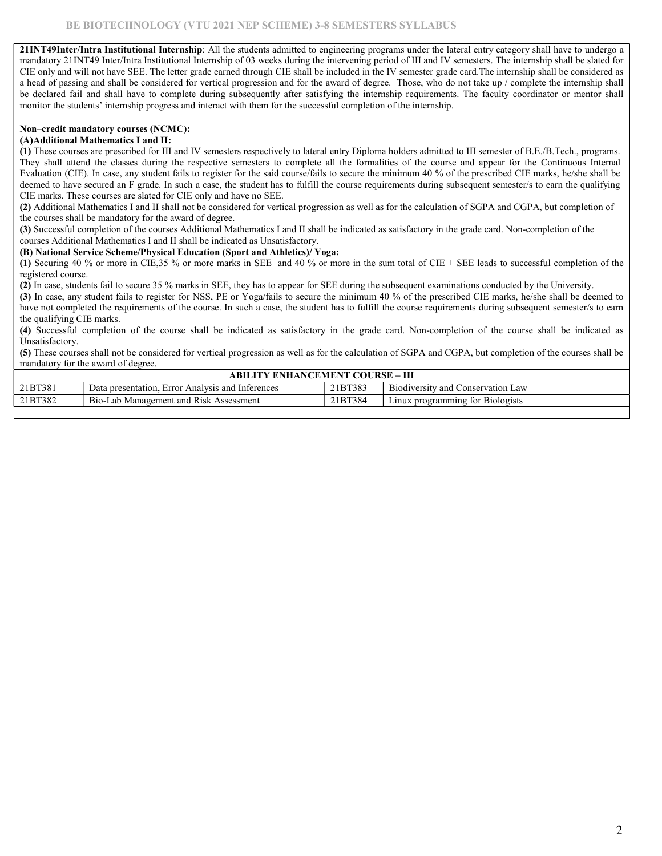21INT49Inter/Intra Institutional Internship: All the students admitted to engineering programs under the lateral entry category shall have to undergo a mandatory 21INT49 Inter/Intra Institutional Internship of 03 weeks during the intervening period of III and IV semesters. The internship shall be slated for CIE only and will not have SEE. The letter grade earned through CIE shall be included in the IV semester grade card.The internship shall be considered as a head of passing and shall be considered for vertical progression and for the award of degree. Those, who do not take up / complete the internship shall be declared fail and shall have to complete during subsequently after satisfying the internship requirements. The faculty coordinator or mentor shall monitor the students' internship progress and interact with them for the successful completion of the internship.

### Non–credit mandatory courses (NCMC):

### (A)Additional Mathematics I and II:

(1) These courses are prescribed for III and IV semesters respectively to lateral entry Diploma holders admitted to III semester of B.E./B.Tech., programs. They shall attend the classes during the respective semesters to complete all the formalities of the course and appear for the Continuous Internal Evaluation (CIE). In case, any student fails to register for the said course/fails to secure the minimum 40 % of the prescribed CIE marks, he/she shall be deemed to have secured an F grade. In such a case, the student has to fulfill the course requirements during subsequent semester/s to earn the qualifying CIE marks. These courses are slated for CIE only and have no SEE.

(2) Additional Mathematics I and II shall not be considered for vertical progression as well as for the calculation of SGPA and CGPA, but completion of the courses shall be mandatory for the award of degree.

(3) Successful completion of the courses Additional Mathematics I and II shall be indicated as satisfactory in the grade card. Non-completion of the courses Additional Mathematics I and II shall be indicated as Unsatisfactory.

#### (B) National Service Scheme/Physical Education (Sport and Athletics)/ Yoga:

(1) Securing 40 % or more in CIE,35 % or more marks in SEE and 40 % or more in the sum total of CIE + SEE leads to successful completion of the registered course.

(2) In case, students fail to secure 35 % marks in SEE, they has to appear for SEE during the subsequent examinations conducted by the University.

(3) In case, any student fails to register for NSS, PE or Yoga/fails to secure the minimum 40 % of the prescribed CIE marks, he/she shall be deemed to have not completed the requirements of the course. In such a case, the student has to fulfill the course requirements during subsequent semester/s to earn the qualifying CIE marks.

(4) Successful completion of the course shall be indicated as satisfactory in the grade card. Non-completion of the course shall be indicated as Unsatisfactory.

(5) These courses shall not be considered for vertical progression as well as for the calculation of SGPA and CGPA, but completion of the courses shall be mandatory for the award of degree.

|         | <b>ABILITY ENHANCEMENT COURSE – III</b>          |         |                                   |  |  |  |  |  |  |  |  |
|---------|--------------------------------------------------|---------|-----------------------------------|--|--|--|--|--|--|--|--|
| 21BT381 | Data presentation. Error Analysis and Inferences | 21BT383 | Biodiversity and Conservation Law |  |  |  |  |  |  |  |  |
| 21BT382 | Bio-Lab Management and Risk Assessment           | 21BT384 | Linux programming for Biologists  |  |  |  |  |  |  |  |  |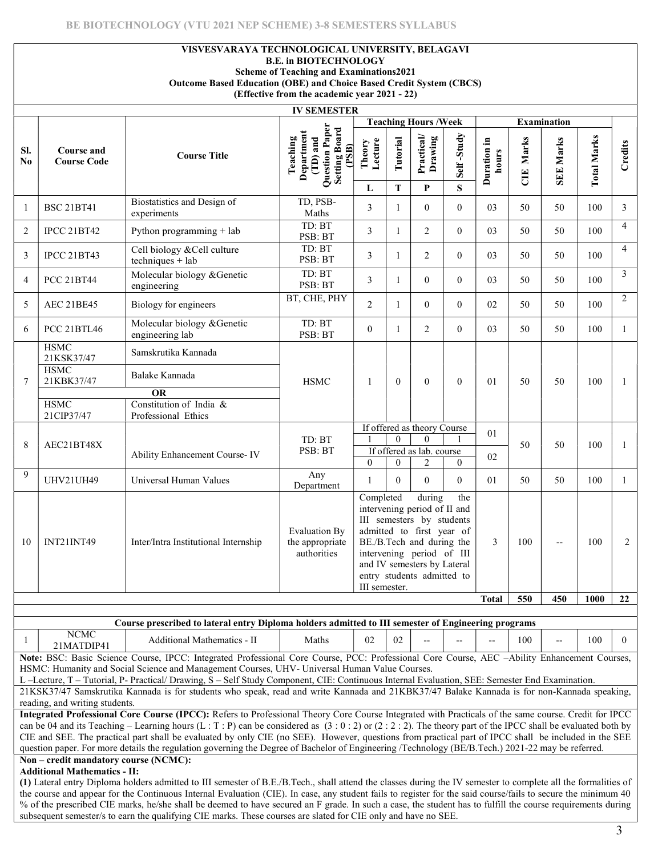## VISVESVARAYA TECHNOLOGICAL UNIVERSITY, BELAGAVI

B.E. in BIOTECHNOLOGY

Scheme of Teaching and Examinations2021 Outcome Based Education (OBE) and Choice Based Credit System (CBCS)

(Effective from the academic year 2021 - 22)

|                                                                                                                                                                                                                                                                                                                                                                                                                                                                           |                                                                                                                                                                                                                                               |                                                                                                                                                                | <b>IV SEMESTER</b>                                                               |                            |                         |                                                                                                                                                                                                                         |                 |                          |                         |                    |                    |                |
|---------------------------------------------------------------------------------------------------------------------------------------------------------------------------------------------------------------------------------------------------------------------------------------------------------------------------------------------------------------------------------------------------------------------------------------------------------------------------|-----------------------------------------------------------------------------------------------------------------------------------------------------------------------------------------------------------------------------------------------|----------------------------------------------------------------------------------------------------------------------------------------------------------------|----------------------------------------------------------------------------------|----------------------------|-------------------------|-------------------------------------------------------------------------------------------------------------------------------------------------------------------------------------------------------------------------|-----------------|--------------------------|-------------------------|--------------------|--------------------|----------------|
|                                                                                                                                                                                                                                                                                                                                                                                                                                                                           |                                                                                                                                                                                                                                               |                                                                                                                                                                |                                                                                  |                            |                         | <b>Teaching Hours /Week</b>                                                                                                                                                                                             |                 |                          |                         | <b>Examination</b> |                    |                |
| SI.<br>N <sub>0</sub>                                                                                                                                                                                                                                                                                                                                                                                                                                                     | Course and<br><b>Course Code</b>                                                                                                                                                                                                              | <b>Course Title</b>                                                                                                                                            | Question Paper<br>Setting Board<br>Department<br>$(1D)$ and<br>Teaching<br>(PSB) | Lecture<br>Theory<br>L     | Tutorial<br>$\mathbf T$ | Practical/<br>Drawing<br>P                                                                                                                                                                                              | Self-Study<br>S | Duration in<br>hours     | Marks<br>$\overline{d}$ | <b>SEE Marks</b>   | <b>Total Marks</b> | Credits        |
| $\mathbf{1}$                                                                                                                                                                                                                                                                                                                                                                                                                                                              | <b>BSC 21BT41</b>                                                                                                                                                                                                                             | Biostatistics and Design of<br>experiments                                                                                                                     | TD, PSB-<br>Maths                                                                | 3                          | $\mathbf{1}$            | $\theta$                                                                                                                                                                                                                | $\theta$        | 03                       | 50                      | 50                 | 100                | 3              |
| $\overline{2}$                                                                                                                                                                                                                                                                                                                                                                                                                                                            | <b>IPCC 21BT42</b>                                                                                                                                                                                                                            | Python programming + lab                                                                                                                                       | TD: BT<br>PSB: BT                                                                | $\overline{3}$             | 1                       | 2                                                                                                                                                                                                                       | $\theta$        | 03                       | 50                      | 50                 | 100                | $\overline{4}$ |
| 3                                                                                                                                                                                                                                                                                                                                                                                                                                                                         | <b>IPCC 21BT43</b>                                                                                                                                                                                                                            | Cell biology & Cell culture<br>techniques + lab                                                                                                                | TD: BT<br>PSB: BT                                                                | 3                          | $\mathbf{1}$            | 2                                                                                                                                                                                                                       | $\overline{0}$  | 03                       | 50                      | 50                 | 100                | 4              |
| 4                                                                                                                                                                                                                                                                                                                                                                                                                                                                         | <b>PCC 21BT44</b>                                                                                                                                                                                                                             | Molecular biology & Genetic<br>engineering                                                                                                                     | TD: BT<br>PSB: BT                                                                | 3                          | $\mathbf{1}$            | $\theta$                                                                                                                                                                                                                | $\Omega$        | 03                       | 50                      | 50                 | 100                | 3              |
| 5                                                                                                                                                                                                                                                                                                                                                                                                                                                                         | AEC 21BE45                                                                                                                                                                                                                                    | Biology for engineers                                                                                                                                          | BT, CHE, PHY                                                                     | 2                          | 1                       | $\theta$                                                                                                                                                                                                                | $\overline{0}$  | 02                       | 50                      | 50                 | 100                | $\overline{2}$ |
| 6                                                                                                                                                                                                                                                                                                                                                                                                                                                                         | <b>PCC 21BTL46</b>                                                                                                                                                                                                                            | Molecular biology & Genetic<br>engineering lab                                                                                                                 | TD: BT<br>PSB: BT                                                                | $\overline{0}$             | 1                       | 2                                                                                                                                                                                                                       | $\Omega$        | 03                       | 50                      | 50                 | 100                | $\mathbf{1}$   |
|                                                                                                                                                                                                                                                                                                                                                                                                                                                                           | <b>HSMC</b><br>21KSK37/47                                                                                                                                                                                                                     | Samskrutika Kannada                                                                                                                                            |                                                                                  |                            |                         |                                                                                                                                                                                                                         |                 |                          |                         |                    |                    |                |
| 7                                                                                                                                                                                                                                                                                                                                                                                                                                                                         | <b>HSMC</b><br>21KBK37/47                                                                                                                                                                                                                     | Balake Kannada<br><b>OR</b>                                                                                                                                    | <b>HSMC</b>                                                                      | 1                          | $\overline{0}$          | $\Omega$                                                                                                                                                                                                                | $\theta$        | 01                       | 50                      | 50                 | 100                | 1              |
|                                                                                                                                                                                                                                                                                                                                                                                                                                                                           | <b>HSMC</b>                                                                                                                                                                                                                                   | Constitution of India &                                                                                                                                        |                                                                                  |                            |                         |                                                                                                                                                                                                                         |                 |                          |                         |                    |                    |                |
|                                                                                                                                                                                                                                                                                                                                                                                                                                                                           | 21CIP37/47                                                                                                                                                                                                                                    | Professional Ethics                                                                                                                                            |                                                                                  |                            |                         |                                                                                                                                                                                                                         |                 |                          |                         |                    |                    |                |
|                                                                                                                                                                                                                                                                                                                                                                                                                                                                           |                                                                                                                                                                                                                                               |                                                                                                                                                                |                                                                                  |                            |                         | If offered as theory Course                                                                                                                                                                                             |                 | 01                       |                         |                    |                    |                |
| $\,8\,$                                                                                                                                                                                                                                                                                                                                                                                                                                                                   | AEC21BT48X                                                                                                                                                                                                                                    |                                                                                                                                                                | TD: BT<br>PSB: BT                                                                |                            | $\theta$                | $\Omega$                                                                                                                                                                                                                |                 |                          | 50                      | 50                 | 100                | 1              |
|                                                                                                                                                                                                                                                                                                                                                                                                                                                                           |                                                                                                                                                                                                                                               | Ability Enhancement Course-IV                                                                                                                                  |                                                                                  | $\theta$                   | $\theta$                | If offered as lab. course<br>2                                                                                                                                                                                          | $\Omega$        | 02                       |                         |                    |                    |                |
| 9                                                                                                                                                                                                                                                                                                                                                                                                                                                                         | <b>UHV21UH49</b>                                                                                                                                                                                                                              | Universal Human Values                                                                                                                                         | Any<br>Department                                                                | 1                          | $\theta$                | $\Omega$                                                                                                                                                                                                                | $\theta$        | 01                       | 50                      | 50                 | 100                | $\mathbf{1}$   |
| 10                                                                                                                                                                                                                                                                                                                                                                                                                                                                        | INT21INT49                                                                                                                                                                                                                                    | Inter/Intra Institutional Internship                                                                                                                           | <b>Evaluation By</b><br>the appropriate<br>authorities                           | Completed<br>III semester. |                         | during<br>intervening period of II and<br>III semesters by students<br>admitted to first year of<br>BE./B.Tech and during the<br>intervening period of III<br>and IV semesters by Lateral<br>entry students admitted to | the             | 3                        | 100                     | $-$                | 100                | $\overline{2}$ |
|                                                                                                                                                                                                                                                                                                                                                                                                                                                                           |                                                                                                                                                                                                                                               |                                                                                                                                                                |                                                                                  |                            |                         |                                                                                                                                                                                                                         |                 | <b>Total</b>             | 550                     | 450                | <b>1000</b>        | 22             |
|                                                                                                                                                                                                                                                                                                                                                                                                                                                                           |                                                                                                                                                                                                                                               |                                                                                                                                                                |                                                                                  |                            |                         |                                                                                                                                                                                                                         |                 |                          |                         |                    |                    |                |
|                                                                                                                                                                                                                                                                                                                                                                                                                                                                           |                                                                                                                                                                                                                                               | Course prescribed to lateral entry Diploma holders admitted to III semester of Engineering programs                                                            |                                                                                  |                            |                         |                                                                                                                                                                                                                         |                 |                          |                         |                    |                    |                |
| 1                                                                                                                                                                                                                                                                                                                                                                                                                                                                         | <b>NCMC</b><br>21MATDIP41                                                                                                                                                                                                                     | <b>Additional Mathematics - II</b>                                                                                                                             | Maths                                                                            | 02                         | 02                      |                                                                                                                                                                                                                         |                 | $\overline{\phantom{a}}$ | 100                     |                    | 100                | $\overline{0}$ |
|                                                                                                                                                                                                                                                                                                                                                                                                                                                                           | Note: BSC: Basic Science Course, IPCC: Integrated Professional Core Course, PCC: Professional Core Course, AEC -Ability Enhancement Courses,<br>HSMC: Humanity and Social Science and Management Courses, UHV- Universal Human Value Courses. |                                                                                                                                                                |                                                                                  |                            |                         |                                                                                                                                                                                                                         |                 |                          |                         |                    |                    |                |
| L -Lecture, T - Tutorial, P- Practical/ Drawing, S - Self Study Component, CIE: Continuous Internal Evaluation, SEE: Semester End Examination.                                                                                                                                                                                                                                                                                                                            |                                                                                                                                                                                                                                               |                                                                                                                                                                |                                                                                  |                            |                         |                                                                                                                                                                                                                         |                 |                          |                         |                    |                    |                |
| 21KSK37/47 Samskrutika Kannada is for students who speak, read and write Kannada and 21KBK37/47 Balake Kannada is for non-Kannada speaking,<br>reading, and writing students.                                                                                                                                                                                                                                                                                             |                                                                                                                                                                                                                                               |                                                                                                                                                                |                                                                                  |                            |                         |                                                                                                                                                                                                                         |                 |                          |                         |                    |                    |                |
| Integrated Professional Core Course (IPCC): Refers to Professional Theory Core Course Integrated with Practicals of the same course. Credit for IPCC                                                                                                                                                                                                                                                                                                                      |                                                                                                                                                                                                                                               |                                                                                                                                                                |                                                                                  |                            |                         |                                                                                                                                                                                                                         |                 |                          |                         |                    |                    |                |
| can be 04 and its Teaching – Learning hours (L : T : P) can be considered as $(3:0:2)$ or $(2:2:2)$ . The theory part of the IPCC shall be evaluated both by<br>CIE and SEE. The practical part shall be evaluated by only CIE (no SEE). However, questions from practical part of IPCC shall be included in the SEE<br>question paper. For more details the regulation governing the Degree of Bachelor of Engineering /Technology (BE/B.Tech.) 2021-22 may be referred. |                                                                                                                                                                                                                                               |                                                                                                                                                                |                                                                                  |                            |                         |                                                                                                                                                                                                                         |                 |                          |                         |                    |                    |                |
| Non - credit mandatory course (NCMC):                                                                                                                                                                                                                                                                                                                                                                                                                                     |                                                                                                                                                                                                                                               |                                                                                                                                                                |                                                                                  |                            |                         |                                                                                                                                                                                                                         |                 |                          |                         |                    |                    |                |
| <b>Additional Mathematics - II:</b>                                                                                                                                                                                                                                                                                                                                                                                                                                       |                                                                                                                                                                                                                                               |                                                                                                                                                                |                                                                                  |                            |                         |                                                                                                                                                                                                                         |                 |                          |                         |                    |                    |                |
|                                                                                                                                                                                                                                                                                                                                                                                                                                                                           |                                                                                                                                                                                                                                               | (1) Lateral entry Diploma holders admitted to III semester of B.E./B.Tech., shall attend the classes during the IV semester to complete all the formalities of |                                                                                  |                            |                         |                                                                                                                                                                                                                         |                 |                          |                         |                    |                    |                |
|                                                                                                                                                                                                                                                                                                                                                                                                                                                                           |                                                                                                                                                                                                                                               | the course and appear for the Continuous Internal Evaluation (CIE). In case, any student fails to register for the said course/fails to secure the minimum 40  |                                                                                  |                            |                         |                                                                                                                                                                                                                         |                 |                          |                         |                    |                    |                |

% of the prescribed CIE marks, he/she shall be deemed to have secured an F grade. In such a case, the student has to fulfill the course requirements during

subsequent semester/s to earn the qualifying CIE marks. These courses are slated for CIE only and have no SEE.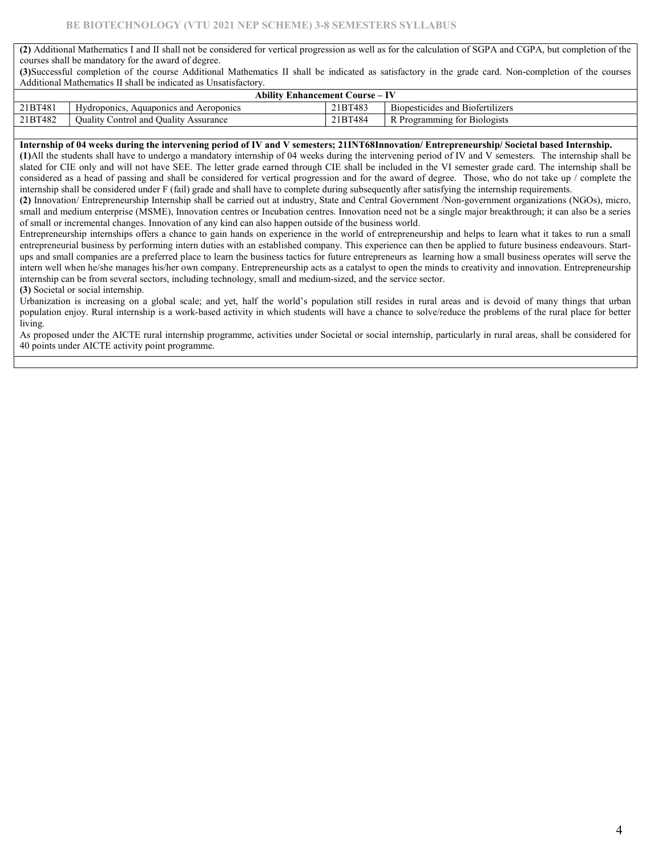(2) Additional Mathematics I and II shall not be considered for vertical progression as well as for the calculation of SGPA and CGPA, but completion of the courses shall be mandatory for the award of degree.

(3)Successful completion of the course Additional Mathematics II shall be indicated as satisfactory in the grade card. Non-completion of the courses Additional Mathematics II shall be indicated as Unsatisfactory.

|         | Ability<br>7 Enhancement Course –             |         |                                  |  |  |  |  |  |  |  |
|---------|-----------------------------------------------|---------|----------------------------------|--|--|--|--|--|--|--|
| 21BT481 | Hydroponics.<br>Aquaponics and Aeroponics     | 21BT483 | Biopesticides and Biofertilizers |  |  |  |  |  |  |  |
| 21BT482 | Control and Quality<br>Quality C<br>Assurance | 21BT484 | Programming for Biologists       |  |  |  |  |  |  |  |

#### Internship of 04 weeks during the intervening period of IV and V semesters; 21INT68Innovation/ Entrepreneurship/ Societal based Internship.

(1)All the students shall have to undergo a mandatory internship of 04 weeks during the intervening period of IV and V semesters. The internship shall be slated for CIE only and will not have SEE. The letter grade earned through CIE shall be included in the VI semester grade card. The internship shall be considered as a head of passing and shall be considered for vertical progression and for the award of degree. Those, who do not take up / complete the internship shall be considered under F (fail) grade and shall have to complete during subsequently after satisfying the internship requirements.

(2) Innovation/ Entrepreneurship Internship shall be carried out at industry, State and Central Government /Non-government organizations (NGOs), micro, small and medium enterprise (MSME), Innovation centres or Incubation centres. Innovation need not be a single major breakthrough; it can also be a series of small or incremental changes. Innovation of any kind can also happen outside of the business world.

Entrepreneurship internships offers a chance to gain hands on experience in the world of entrepreneurship and helps to learn what it takes to run a small entrepreneurial business by performing intern duties with an established company. This experience can then be applied to future business endeavours. Startups and small companies are a preferred place to learn the business tactics for future entrepreneurs as learning how a small business operates will serve the intern well when he/she manages his/her own company. Entrepreneurship acts as a catalyst to open the minds to creativity and innovation. Entrepreneurship internship can be from several sectors, including technology, small and medium-sized, and the service sector.

(3) Societal or social internship.

Urbanization is increasing on a global scale; and yet, half the world's population still resides in rural areas and is devoid of many things that urban population enjoy. Rural internship is a work-based activity in which students will have a chance to solve/reduce the problems of the rural place for better living.

As proposed under the AICTE rural internship programme, activities under Societal or social internship, particularly in rural areas, shall be considered for 40 points under AICTE activity point programme.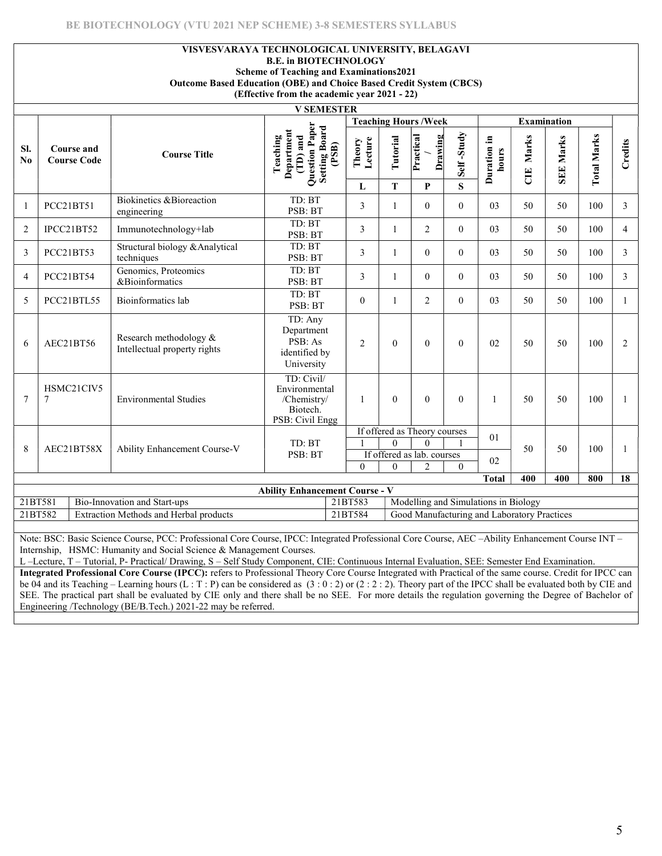# VISVESVARAYA TECHNOLOGICAL UNIVERSITY, BELAGAVI

B.E. in BIOTECHNOLOGY

Scheme of Teaching and Examinations2021 Outcome Based Education (OBE) and Choice Based Credit System (CBCS)

(Effective from the academic year 2021 - 22)

|                                                                                                                                                                                                           | <b>V SEMESTER</b>                       |                                                                                                                                            |                                                                                |                   |              |                              |              |                      |             |                    |                    |                |
|-----------------------------------------------------------------------------------------------------------------------------------------------------------------------------------------------------------|-----------------------------------------|--------------------------------------------------------------------------------------------------------------------------------------------|--------------------------------------------------------------------------------|-------------------|--------------|------------------------------|--------------|----------------------|-------------|--------------------|--------------------|----------------|
|                                                                                                                                                                                                           |                                         |                                                                                                                                            |                                                                                |                   |              | <b>Teaching Hours /Week</b>  |              |                      |             | <b>Examination</b> |                    |                |
| SI.<br>No                                                                                                                                                                                                 | <b>Course and</b><br><b>Course Code</b> | <b>Course Title</b>                                                                                                                        | Question Paper<br>Setting Board<br>(PSB)<br>Department<br>(TD) and<br>Teaching | Lecture<br>Theory | Tutorial     | Practical<br>Drawing         | Self-Study   | Duration in<br>hours | Marks<br>UE | <b>SEE Marks</b>   | <b>Total Marks</b> | Credits        |
|                                                                                                                                                                                                           |                                         |                                                                                                                                            |                                                                                | L                 | T            | P                            | $\mathbf S$  |                      |             |                    |                    |                |
|                                                                                                                                                                                                           | PCC21BT51                               | Biokinetics & Bioreaction<br>engineering                                                                                                   | TD: BT<br>PSB: BT                                                              | 3                 | $\mathbf{1}$ | $\theta$                     | $\theta$     | 03                   | 50          | 50                 | 100                | 3              |
| 2                                                                                                                                                                                                         | IPCC21BT52                              | Immunotechnology+lab                                                                                                                       | TD: BT<br>PSB: BT                                                              | $\mathfrak{Z}$    | -1           | 2                            | $\theta$     | 03                   | 50          | 50                 | 100                | $\overline{4}$ |
| 3                                                                                                                                                                                                         | PCC21BT53                               | Structural biology & Analytical<br>techniques                                                                                              | TD: BT<br>PSB: BT                                                              | 3                 | $\mathbf{1}$ | $\theta$                     | $\mathbf{0}$ | 03                   | 50          | 50                 | 100                | 3              |
| 4                                                                                                                                                                                                         | PCC21BT54                               | Genomics, Proteomics<br>&Bioinformatics                                                                                                    | TD: BT<br>PSB: BT                                                              | 3                 | -1           | $\theta$                     | $\theta$     | 03                   | 50          | 50                 | 100                | 3              |
| 5                                                                                                                                                                                                         | PCC21BTL55                              | Bioinformatics lab                                                                                                                         | TD: BT<br>PSB: BT                                                              | $\overline{0}$    |              | 2                            | $\mathbf{0}$ | 03                   | 50          | 50                 | 100                | 1              |
| 6                                                                                                                                                                                                         | AEC21BT56                               | Research methodology &<br>Intellectual property rights                                                                                     | TD: Any<br>Department<br>PSB: As<br>identified by<br>University                | $\overline{2}$    | $\theta$     | $\theta$                     | $\mathbf{0}$ | 02                   | 50          | 50                 | 100                | $\overline{2}$ |
| $\tau$                                                                                                                                                                                                    | HSMC21CIV5<br>7                         | <b>Environmental Studies</b>                                                                                                               | TD: Civil/<br>Environmental<br>/Chemistry/<br>Biotech.<br>PSB: Civil Engg      | $\overline{1}$    | $\mathbf{0}$ | $\theta$                     | $\mathbf{0}$ |                      | 50          | 50                 | 100                |                |
|                                                                                                                                                                                                           |                                         |                                                                                                                                            |                                                                                |                   |              | If offered as Theory courses |              | 01                   |             |                    |                    |                |
| $\Omega$<br>TD: BT<br>$\Omega$<br>8<br>50<br>50<br>100<br>AEC21BT58X<br>Ability Enhancement Course-V<br>PSB: BT<br>If offered as lab. courses<br>02<br>$\theta$<br>$\overline{2}$<br>$\theta$<br>$\theta$ |                                         |                                                                                                                                            |                                                                                |                   |              |                              |              |                      |             |                    |                    |                |
|                                                                                                                                                                                                           |                                         |                                                                                                                                            |                                                                                |                   |              |                              |              | <b>Total</b>         | 400         | 400                | 800                | 18             |
| <b>Ability Enhancement Course - V</b>                                                                                                                                                                     |                                         |                                                                                                                                            |                                                                                |                   |              |                              |              |                      |             |                    |                    |                |
| 21BT581<br>21BT583<br>Modelling and Simulations in Biology<br>Bio-Innovation and Start-ups                                                                                                                |                                         |                                                                                                                                            |                                                                                |                   |              |                              |              |                      |             |                    |                    |                |
| 21BT582<br>21BT584<br>Good Manufacturing and Laboratory Practices<br>Extraction Methods and Herbal products                                                                                               |                                         |                                                                                                                                            |                                                                                |                   |              |                              |              |                      |             |                    |                    |                |
|                                                                                                                                                                                                           |                                         |                                                                                                                                            |                                                                                |                   |              |                              |              |                      |             |                    |                    |                |
|                                                                                                                                                                                                           |                                         | Note: RSC: Rasic Science Course PCC: Professional Core Course IPCC: Integrated Professional Core Course AEC Ability Enhancement Course INT |                                                                                |                   |              |                              |              |                      |             |                    |                    |                |

ssional Core Course, IPCC: Integrated Professional Core Course, AEC –Ability Enhancement Course INT Internship, HSMC: Humanity and Social Science & Management Courses.

L –Lecture, T – Tutorial, P- Practical/ Drawing, S – Self Study Component, CIE: Continuous Internal Evaluation, SEE: Semester End Examination.

Integrated Professional Core Course (IPCC): refers to Professional Theory Core Course Integrated with Practical of the same course. Credit for IPCC can be 04 and its Teaching – Learning hours (L : T : P) can be considered as  $(3:0:2)$  or  $(2:2:2)$ . Theory part of the IPCC shall be evaluated both by CIE and SEE. The practical part shall be evaluated by CIE only and there shall be no SEE. For more details the regulation governing the Degree of Bachelor of Engineering /Technology (BE/B.Tech.) 2021-22 may be referred.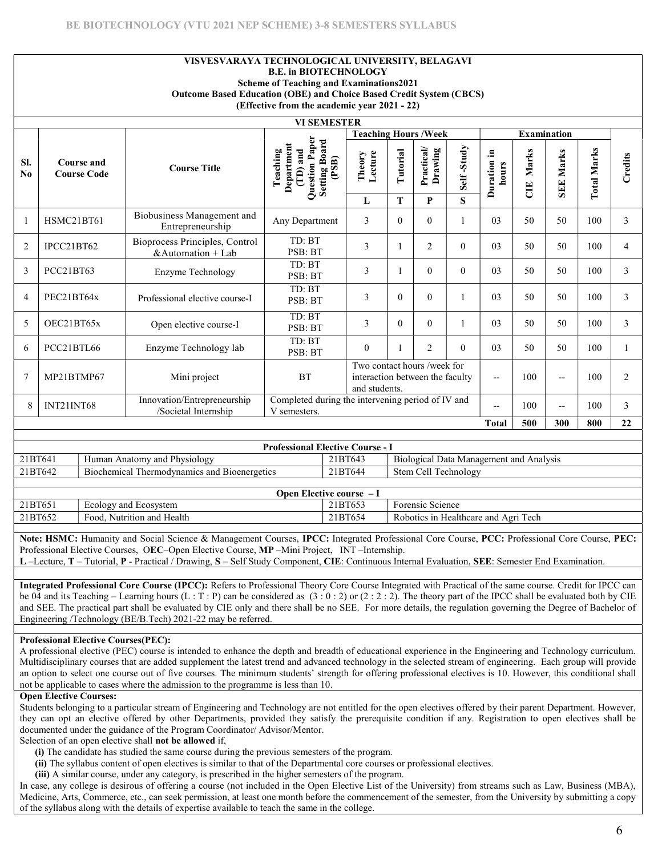#### VISVESVARAYA TECHNOLOGICAL UNIVERSITY, BELAGAVI B.E. in BIOTECHNOLOGY Scheme of Teaching and Examinations2021 Outcome Based Education (OBE) and Choice Based Credit System (CBCS) (Effective from the academic year 2021 - 22)

|                 |                                  |                                                        | <b>VI SEMESTER</b>                                                                                                |                             |          |                      |            |                         |                    |                     |                    |         |
|-----------------|----------------------------------|--------------------------------------------------------|-------------------------------------------------------------------------------------------------------------------|-----------------------------|----------|----------------------|------------|-------------------------|--------------------|---------------------|--------------------|---------|
|                 |                                  |                                                        |                                                                                                                   | <b>Teaching Hours /Week</b> |          |                      |            |                         | <b>Examination</b> |                     |                    |         |
| SI.<br>$\bf No$ | Course and<br><b>Course Code</b> | <b>Course Title</b>                                    | Question Paper<br><b>Setting Board</b><br>Department<br>(TD) and<br>Teaching<br>(PSB)                             | Lecture<br>Theory           | Tutorial | Practical<br>Drawing | Self-Study | .크<br>Duration<br>hours | Marks<br>UE        | Marks<br><b>SEE</b> | <b>Total Marks</b> | Credits |
|                 |                                  |                                                        |                                                                                                                   | L                           | T        | P                    | S          |                         |                    |                     |                    |         |
| $\mathbf{1}$    | HSMC21BT61                       | Biobusiness Management and<br>Entrepreneurship         | Any Department                                                                                                    | 3                           | $\Omega$ | $\theta$             |            | 03                      | 50                 | 50                  | 100                | 3       |
| $\overline{2}$  | IPCC21BT62                       | Bioprocess Principles, Control<br>& Automation $+$ Lab | TD: BT<br>PSB: BT                                                                                                 | 3                           |          | $\overline{2}$       | $\Omega$   | 03                      | 50                 | 50                  | 100                | 4       |
| 3               | PCC21BT63                        | Enzyme Technology                                      | TD: BT<br>PSB: BT                                                                                                 | 3                           |          | $\mathbf{0}$         | $\Omega$   | 03                      | 50                 | 50                  | 100                | 3       |
| $\overline{4}$  | PEC21BT64x                       | Professional elective course-I                         | TD: BT<br>PSB: BT                                                                                                 | 3                           | $\theta$ | $\theta$             |            | 03                      | 50                 | 50                  | 100                | 3       |
| 5               | OEC21BT65x                       | Open elective course-I                                 | TD: BT<br>PSB: BT                                                                                                 | 3                           | $\theta$ | $\theta$             |            | 03                      | 50                 | 50                  | 100                | 3       |
| 6               | PCC21BTL66                       | Enzyme Technology lab                                  | TD: BT<br>PSB: BT                                                                                                 | $\overline{0}$              |          | $\overline{2}$       | $\theta$   | 03                      | 50                 | 50                  | 100                |         |
| $\overline{7}$  | MP21BTMP67                       | Mini project                                           | Two contact hours /week for<br><b>BT</b><br>100<br>interaction between the faculty<br>$-$<br>$-$<br>and students. |                             |          |                      |            |                         | 100                | $\overline{c}$      |                    |         |
| 8               | INT21INT68                       | Innovation/Entrepreneurship<br>/Societal Internship    | Completed during the intervening period of IV and<br>100<br>100<br>$-$<br>--<br>V semesters.                      |                             |          |                      |            |                         | 3                  |                     |                    |         |
|                 |                                  |                                                        |                                                                                                                   |                             |          |                      |            | <b>Total</b>            | 500                | 300                 | 800                | 22      |

| <b>Professional Elective Course - I</b> |                                                          |         |                                         |  |  |  |  |  |  |
|-----------------------------------------|----------------------------------------------------------|---------|-----------------------------------------|--|--|--|--|--|--|
| 21BT641                                 | Human Anatomy and Physiology                             | 21BT643 | Biological Data Management and Analysis |  |  |  |  |  |  |
| 21BT642                                 | <b>Biochemical</b><br>l Thermodynamics and Bioenergetics | 21BT644 | Stem Cell Technology                    |  |  |  |  |  |  |

|         | Open Elective course  –                                        |         |                                                                                          |  |  |  |  |  |  |  |
|---------|----------------------------------------------------------------|---------|------------------------------------------------------------------------------------------|--|--|--|--|--|--|--|
| 21BT651 | Ecology and Ecosystem                                          | 21BT653 | Forensic<br>Science                                                                      |  |  |  |  |  |  |  |
| 21BT652 | $\overline{\phantom{0}}$<br>' Health<br>Food.<br>Nutrition and | 21BT654 | $\overline{\phantom{a}}$<br>Healthcare and $\lambda$<br>Fech<br>Agri<br>. 1n<br>Robotics |  |  |  |  |  |  |  |

Note: HSMC: Humanity and Social Science & Management Courses, IPCC: Integrated Professional Core Course, PCC: Professional Core Course, PEC: Professional Elective Courses, OEC–Open Elective Course, MP –Mini Project, INT –Internship.

L –Lecture, T – Tutorial, P - Practical / Drawing, S – Self Study Component, CIE: Continuous Internal Evaluation, SEE: Semester End Examination.

Integrated Professional Core Course (IPCC): Refers to Professional Theory Core Course Integrated with Practical of the same course. Credit for IPCC can be 04 and its Teaching – Learning hours  $(L : T : P)$  can be considered as  $(3 : 0 : 2)$  or  $(2 : 2 : 2)$ . The theory part of the IPCC shall be evaluated both by CIE and SEE. The practical part shall be evaluated by CIE only and there shall be no SEE. For more details, the regulation governing the Degree of Bachelor of Engineering /Technology (BE/B.Tech) 2021-22 may be referred.

## Professional Elective Courses(PEC):

A professional elective (PEC) course is intended to enhance the depth and breadth of educational experience in the Engineering and Technology curriculum. Multidisciplinary courses that are added supplement the latest trend and advanced technology in the selected stream of engineering. Each group will provide an option to select one course out of five courses. The minimum students' strength for offering professional electives is 10. However, this conditional shall not be applicable to cases where the admission to the programme is less than 10.

## Open Elective Courses:

Students belonging to a particular stream of Engineering and Technology are not entitled for the open electives offered by their parent Department. However, they can opt an elective offered by other Departments, provided they satisfy the prerequisite condition if any. Registration to open electives shall be documented under the guidance of the Program Coordinator/ Advisor/Mentor.

## Selection of an open elective shall not be allowed if,

(i) The candidate has studied the same course during the previous semesters of the program.

- (ii) The syllabus content of open electives is similar to that of the Departmental core courses or professional electives.
- (iii) A similar course, under any category, is prescribed in the higher semesters of the program.

In case, any college is desirous of offering a course (not included in the Open Elective List of the University) from streams such as Law, Business (MBA), Medicine, Arts, Commerce, etc., can seek permission, at least one month before the commencement of the semester, from the University by submitting a copy of the syllabus along with the details of expertise available to teach the same in the college.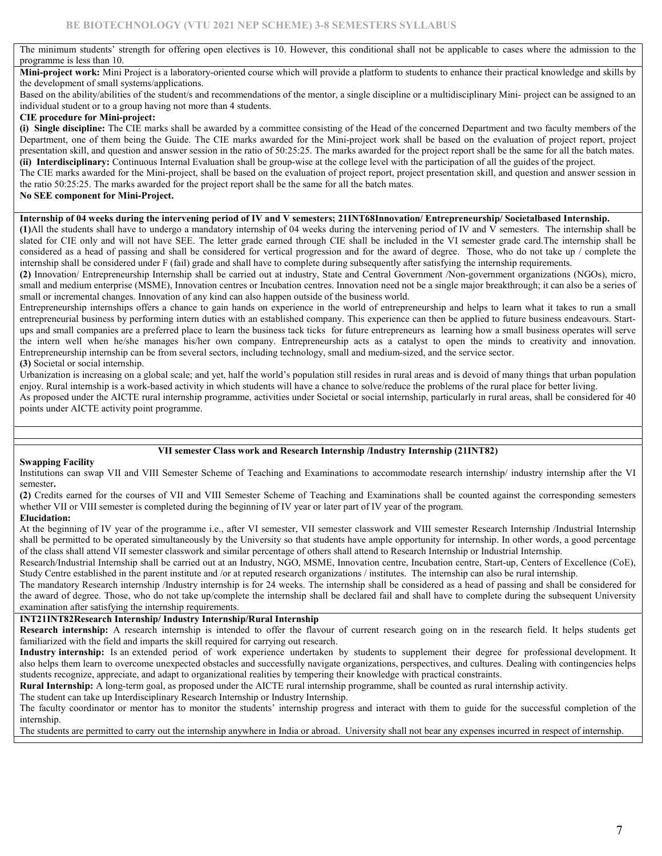The minimum students' strength for offering open electives is 10. However, this conditional shall not be applicable to cases where the admission to the programme is less than 10.

Mini-project work: Mini Project is a laboratory-oriented course which will provide a platform to students to enhance their practical knowledge and skills by the development of small systems/applications.

Based on the ability/abilities of the student/s and recommendations of the mentor, a single discipline or a multidisciplinary Mini- project can be assigned to an individual student or to a group having not more than 4 students.

#### CIE procedure for Mini-project:

(i) Single discipline: The CIE marks shall be awarded by a committee consisting of the Head of the concerned Department and two faculty members of the Department, one of them being the Guide. The CIE marks awarded for the Mini-project work shall be based on the evaluation of project report, project presentation skill, and question and answer session in the ratio of 50:25:25. The marks awarded for the project report shall be the same for all the batch mates. (ii) Interdisciplinary: Continuous Internal Evaluation shall be group-wise at the college level with the participation of all the guides of the project.

The CIE marks awarded for the Mini-project, shall be based on the evaluation of project report, project presentation skill, and question and answer session in the ratio 50:25:25. The marks awarded for the project report shall be the same for all the batch mates.

### No SEE component for Mini-Project.

#### Internship of 04 weeks during the intervening period of IV and V semesters; 21INT68Innovation/ Entrepreneurship/ Societalbased Internship.

(1)All the students shall have to undergo a mandatory internship of 04 weeks during the intervening period of IV and V semesters. The internship shall be slated for CIE only and will not have SEE. The letter grade earned through CIE shall be included in the VI semester grade card.The internship shall be considered as a head of passing and shall be considered for vertical progression and for the award of degree. Those, who do not take up / complete the internship shall be considered under F (fail) grade and shall have to complete during subsequently after satisfying the internship requirements.

(2) Innovation/ Entrepreneurship Internship shall be carried out at industry, State and Central Government /Non-government organizations (NGOs), micro, small and medium enterprise (MSME), Innovation centres or Incubation centres. Innovation need not be a single major breakthrough; it can also be a series of small or incremental changes. Innovation of any kind can also happen outside of the business world.

Entrepreneurship internships offers a chance to gain hands on experience in the world of entrepreneurship and helps to learn what it takes to run a small entrepreneurial business by performing intern duties with an established company. This experience can then be applied to future business endeavours. Startups and small companies are a preferred place to learn the business tack ticks for future entrepreneurs as learning how a small business operates will serve the intern well when he/she manages his/her own company. Entrepreneurship acts as a catalyst to open the minds to creativity and innovation. Entrepreneurship internship can be from several sectors, including technology, small and medium-sized, and the service sector. (3) Societal or social internship.

Urbanization is increasing on a global scale; and yet, half the world's population still resides in rural areas and is devoid of many things that urban population enjoy. Rural internship is a work-based activity in which students will have a chance to solve/reduce the problems of the rural place for better living.

As proposed under the AICTE rural internship programme, activities under Societal or social internship, particularly in rural areas, shall be considered for 40 points under AICTE activity point programme.

## VII semester Class work and Research Internship /Industry Internship (21INT82)

#### Swapping Facility

Institutions can swap VII and VIII Semester Scheme of Teaching and Examinations to accommodate research internship/ industry internship after the VI semester.

(2) Credits earned for the courses of VII and VIII Semester Scheme of Teaching and Examinations shall be counted against the corresponding semesters whether VII or VIII semester is completed during the beginning of IV year or later part of IV year of the program.

# Elucidation:

At the beginning of IV year of the programme i.e., after VI semester, VII semester classwork and VIII semester Research Internship /Industrial Internship shall be permitted to be operated simultaneously by the University so that students have ample opportunity for internship. In other words, a good percentage of the class shall attend VII semester classwork and similar percentage of others shall attend to Research Internship or Industrial Internship.

Research/Industrial Internship shall be carried out at an Industry, NGO, MSME, Innovation centre, Incubation centre, Start-up, Centers of Excellence (CoE), Study Centre established in the parent institute and /or at reputed research organizations / institutes. The internship can also be rural internship.

The mandatory Research internship /Industry internship is for 24 weeks. The internship shall be considered as a head of passing and shall be considered for the award of degree. Those, who do not take up/complete the internship shall be declared fail and shall have to complete during the subsequent University examination after satisfying the internship requirements.

## INT21INT82Research Internship/ Industry Internship/Rural Internship

Research internship: A research internship is intended to offer the flavour of current research going on in the research field. It helps students get familiarized with the field and imparts the skill required for carrying out research.

Industry internship: Is an extended period of work experience undertaken by students to supplement their degree for professional development. It also helps them learn to overcome unexpected obstacles and successfully navigate organizations, perspectives, and cultures. Dealing with contingencies helps students recognize, appreciate, and adapt to organizational realities by tempering their knowledge with practical constraints.

Rural Internship: A long-term goal, as proposed under the AICTE rural internship programme, shall be counted as rural internship activity.

The student can take up Interdisciplinary Research Internship or Industry Internship.

The faculty coordinator or mentor has to monitor the students' internship progress and interact with them to guide for the successful completion of the internship.

The students are permitted to carry out the internship anywhere in India or abroad. University shall not bear any expenses incurred in respect of internship.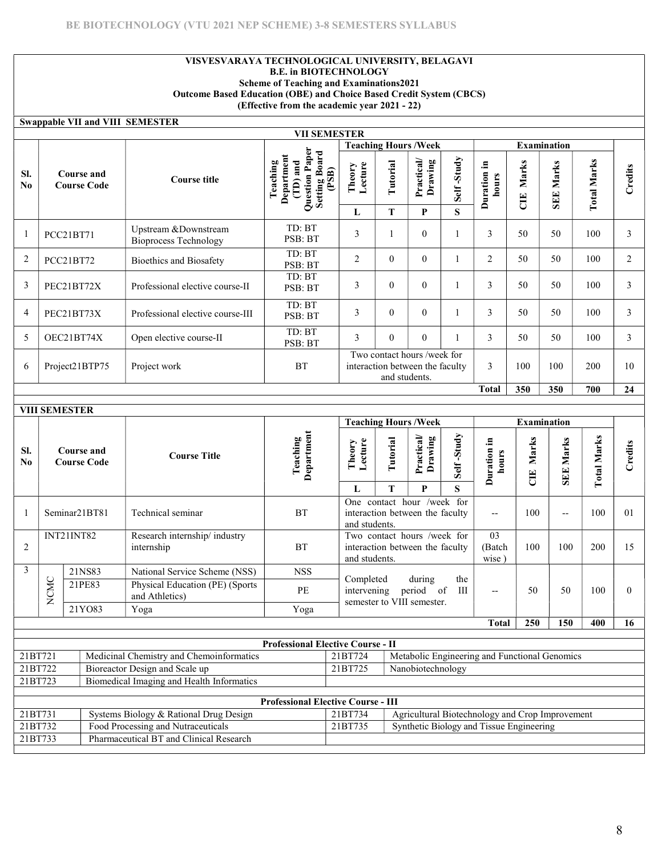## VISVESVARAYA TECHNOLOGICAL UNIVERSITY, BELAGAVI B.E. in BIOTECHNOLOGY Scheme of Teaching and Examinations2021 Outcome Based Education (OBE) and Choice Based Credit System (CBCS) (Effective from the academic year 2021 - 22)

# Swappable VII and VIII SEMESTER

|                       | <b>VII SEMESTER</b>              |                                               |                                                                                                        |                                                                                 |          |                             |            |                         |                |                     |                    |             |
|-----------------------|----------------------------------|-----------------------------------------------|--------------------------------------------------------------------------------------------------------|---------------------------------------------------------------------------------|----------|-----------------------------|------------|-------------------------|----------------|---------------------|--------------------|-------------|
|                       |                                  |                                               |                                                                                                        |                                                                                 |          | <b>Teaching Hours /Week</b> |            |                         |                | <b>Examination</b>  |                    |             |
| SI.<br>N <sub>0</sub> | Course and<br><b>Course Code</b> | <b>Course title</b>                           | aper<br><b>Setting Board</b><br>Department<br>and<br>Teaching<br>(PSB)<br>Question<br>$\sum_{i=1}^{n}$ | Lecture<br>Theory                                                               | Tutorial | <b>Practical</b><br>Drawing | Self-Study | .크<br>Duration<br>hours | Marks<br>$\Xi$ | Marks<br><b>SEE</b> | <b>Total Marks</b> | redits<br>ن |
|                       |                                  |                                               |                                                                                                        | L                                                                               | T        | P                           | S          |                         |                |                     |                    |             |
|                       | PCC21BT71                        | Upstream &Downstream<br>Bioprocess Technology | TD: BT<br>PSB: BT                                                                                      | 3                                                                               |          | $\theta$                    |            | 3                       | 50             | 50                  | 100                | 3           |
| $\overline{2}$        | PCC21BT72                        | <b>Bioethics and Biosafety</b>                | TD: BT<br>PSB: BT                                                                                      | $\overline{2}$                                                                  | $\theta$ | $\Omega$                    |            | $\overline{c}$          | 50             | 50                  | 100                | 2           |
| 3                     | PEC21BT72X                       | Professional elective course-II               | TD: BT<br>PSB: BT                                                                                      | 3                                                                               | $\theta$ | $\theta$                    |            | 3                       | 50             | 50                  | 100                | 3           |
| $\overline{4}$        | PEC21BT73X                       | Professional elective course-III              | TD: BT<br>PSB: BT                                                                                      | 3                                                                               | $\theta$ | $\theta$                    |            | 3                       | 50             | 50                  | 100                | 3           |
| 5                     | OEC21BT74X                       | Open elective course-II                       | TD: BT<br>PSB: BT                                                                                      | 3                                                                               | $\Omega$ | $\Omega$                    |            | 3                       | 50             | 50                  | 100                | 3           |
| 6                     | Project21BTP75                   | Project work                                  | <b>BT</b>                                                                                              | Two contact hours /week for<br>interaction between the faculty<br>and students. |          |                             | 3          | 100                     | 100            | 200                 | 10                 |             |
|                       |                                  |                                               |                                                                                                        |                                                                                 |          |                             |            | <b>Total</b>            | 350            | 350                 | 700                | 24          |

|               |                                                                | <b>VIII SEMESTER</b>           |                    |                                                   |                                           |                   |                                                                                                    |                                                               |            |                                                 |                    |                  |                    |          |
|---------------|----------------------------------------------------------------|--------------------------------|--------------------|---------------------------------------------------|-------------------------------------------|-------------------|----------------------------------------------------------------------------------------------------|---------------------------------------------------------------|------------|-------------------------------------------------|--------------------|------------------|--------------------|----------|
|               |                                                                |                                |                    |                                                   |                                           |                   |                                                                                                    | <b>Teaching Hours/Week</b>                                    |            |                                                 | <b>Examination</b> |                  |                    |          |
| SI.<br>No     |                                                                | Course and                     | <b>Course Code</b> | <b>Course Title</b>                               | Department<br>Teaching                    | Lecture<br>Theory | Tutorial                                                                                           | Practical<br>Drawing                                          | Self-Study | Duration in<br>hours                            | Marks<br>E         | <b>SEE Marks</b> | <b>Total Marks</b> | Credits  |
|               |                                                                |                                |                    |                                                   |                                           | L                 | T                                                                                                  | P                                                             | S          |                                                 |                    |                  |                    |          |
|               |                                                                | Seminar21BT81                  |                    | Technical seminar                                 | <b>BT</b>                                 | and students.     |                                                                                                    | One contact hour /week for<br>interaction between the faculty |            | $-$                                             | 100                | $-$              | 100                | 01       |
| 2             |                                                                | <b>INT21INT82</b>              |                    | Research internship/industry<br>internship        | <b>BT</b>                                 |                   | Two contact hours /week for<br>interaction between the faculty<br>(Batch<br>and students.<br>wise) |                                                               |            |                                                 |                    | 100              | 200                | 15       |
| $\mathcal{E}$ |                                                                | 21NS83                         |                    | National Service Scheme (NSS)                     | <b>NSS</b>                                |                   |                                                                                                    |                                                               |            |                                                 |                    |                  |                    |          |
|               | NCMC                                                           | 21PE83                         |                    | Physical Education (PE) (Sports<br>and Athletics) | PE                                        |                   | Completed<br>during<br>the<br>period of<br>intervening<br>Ш<br>semester to VIII semester.          |                                                               |            |                                                 | 50                 | 50               | 100                | $\Omega$ |
|               |                                                                |                                | 21YO83             | Yoga                                              | Yoga                                      |                   |                                                                                                    |                                                               |            |                                                 |                    |                  |                    |          |
|               |                                                                |                                |                    |                                                   |                                           |                   |                                                                                                    |                                                               |            | <b>Total</b>                                    | 250                | 150              | 400                | 16       |
|               |                                                                |                                |                    |                                                   | <b>Professional Elective Course - II</b>  |                   |                                                                                                    |                                                               |            |                                                 |                    |                  |                    |          |
| 21BT721       |                                                                |                                |                    | Medicinal Chemistry and Chemoinformatics          |                                           | 21BT724           |                                                                                                    |                                                               |            |                                                 |                    |                  |                    |          |
| 21BT722       |                                                                | Bioreactor Design and Scale up |                    |                                                   |                                           | 21BT725           | Metabolic Engineering and Functional Genomics<br>Nanobiotechnology                                 |                                                               |            |                                                 |                    |                  |                    |          |
|               | Biomedical Imaging and Health Informatics<br>21BT723           |                                |                    |                                                   |                                           |                   |                                                                                                    |                                                               |            |                                                 |                    |                  |                    |          |
|               |                                                                |                                |                    |                                                   |                                           |                   |                                                                                                    |                                                               |            |                                                 |                    |                  |                    |          |
|               |                                                                |                                |                    |                                                   | <b>Professional Elective Course - III</b> |                   |                                                                                                    |                                                               |            |                                                 |                    |                  |                    |          |
|               | $21B\overline{1731}$<br>Systems Biology & Rational Drug Design |                                |                    |                                                   |                                           | 21BT734           |                                                                                                    |                                                               |            | Agricultural Biotechnology and Crop Improvement |                    |                  |                    |          |
|               | Food Processing and Nutraceuticals<br>21BT732                  |                                |                    |                                                   |                                           | 21BT735           |                                                                                                    |                                                               |            | Synthetic Biology and Tissue Engineering        |                    |                  |                    |          |
| 21BT733       |                                                                |                                |                    | Pharmaceutical BT and Clinical Research           |                                           |                   |                                                                                                    |                                                               |            |                                                 |                    |                  |                    |          |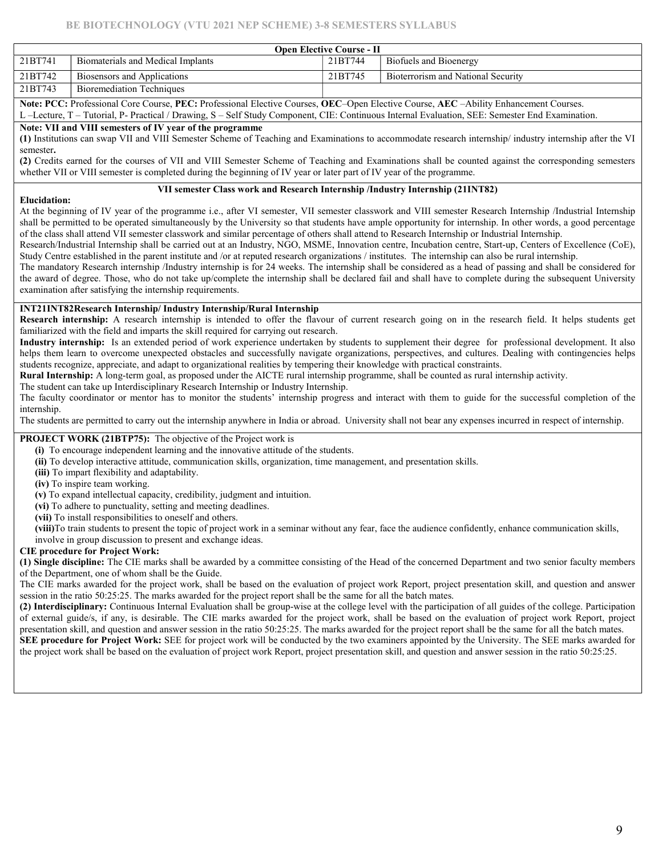# BE BIOTECHNOLOGY (VTU 2021 NEP SCHEME) 3-8 SEMESTERS SYLLABUS

|         | <b>Open Elective Course - II</b>   |         |                                    |  |  |  |  |  |  |  |  |
|---------|------------------------------------|---------|------------------------------------|--|--|--|--|--|--|--|--|
| 21BT741 | Biomaterials and Medical Implants  | 21BT744 | Biofuels and Bioenergy             |  |  |  |  |  |  |  |  |
| 21BT742 | <b>Biosensors and Applications</b> | 21BT745 | Bioterrorism and National Security |  |  |  |  |  |  |  |  |
| 21BT743 | <b>Bioremediation Techniques</b>   |         |                                    |  |  |  |  |  |  |  |  |

Note: PCC: Professional Core Course, PEC: Professional Elective Courses, OEC-Open Elective Course, AEC -Ability Enhancement Courses.

L –Lecture, T – Tutorial, P- Practical / Drawing, S – Self Study Component, CIE: Continuous Internal Evaluation, SEE: Semester End Examination.

# Note: VII and VIII semesters of IV year of the programme

(1) Institutions can swap VII and VIII Semester Scheme of Teaching and Examinations to accommodate research internship/ industry internship after the VI semester.

(2) Credits earned for the courses of VII and VIII Semester Scheme of Teaching and Examinations shall be counted against the corresponding semesters whether VII or VIII semester is completed during the beginning of IV year or later part of IV year of the programme.

### VII semester Class work and Research Internship /Industry Internship (21INT82)

#### Elucidation:

At the beginning of IV year of the programme i.e., after VI semester, VII semester classwork and VIII semester Research Internship /Industrial Internship shall be permitted to be operated simultaneously by the University so that students have ample opportunity for internship. In other words, a good percentage of the class shall attend VII semester classwork and similar percentage of others shall attend to Research Internship or Industrial Internship.

Research/Industrial Internship shall be carried out at an Industry, NGO, MSME, Innovation centre, Incubation centre, Start-up, Centers of Excellence (CoE), Study Centre established in the parent institute and /or at reputed research organizations / institutes. The internship can also be rural internship.

The mandatory Research internship /Industry internship is for 24 weeks. The internship shall be considered as a head of passing and shall be considered for the award of degree. Those, who do not take up/complete the internship shall be declared fail and shall have to complete during the subsequent University examination after satisfying the internship requirements.

# INT21INT82Research Internship/ Industry Internship/Rural Internship

Research internship: A research internship is intended to offer the flavour of current research going on in the research field. It helps students get familiarized with the field and imparts the skill required for carrying out research.

Industry internship: Is an extended period of work experience undertaken by students to supplement their degree for professional development. It also helps them learn to overcome unexpected obstacles and successfully navigate organizations, perspectives, and cultures. Dealing with contingencies helps students recognize, appreciate, and adapt to organizational realities by tempering their knowledge with practical constraints.

Rural Internship: A long-term goal, as proposed under the AICTE rural internship programme, shall be counted as rural internship activity.

The student can take up Interdisciplinary Research Internship or Industry Internship.

The faculty coordinator or mentor has to monitor the students' internship progress and interact with them to guide for the successful completion of the internship.

The students are permitted to carry out the internship anywhere in India or abroad. University shall not bear any expenses incurred in respect of internship.

## PROJECT WORK (21BTP75): The objective of the Project work is

(i) To encourage independent learning and the innovative attitude of the students.

(ii) To develop interactive attitude, communication skills, organization, time management, and presentation skills.

(iii) To impart flexibility and adaptability.

(iv) To inspire team working.

(v) To expand intellectual capacity, credibility, judgment and intuition.

(vi) To adhere to punctuality, setting and meeting deadlines.

(vii) To install responsibilities to oneself and others.

(viii)To train students to present the topic of project work in a seminar without any fear, face the audience confidently, enhance communication skills, involve in group discussion to present and exchange ideas.

## CIE procedure for Project Work:

(1) Single discipline: The CIE marks shall be awarded by a committee consisting of the Head of the concerned Department and two senior faculty members of the Department, one of whom shall be the Guide.

The CIE marks awarded for the project work, shall be based on the evaluation of project work Report, project presentation skill, and question and answer session in the ratio 50:25:25. The marks awarded for the project report shall be the same for all the batch mates.

(2) Interdisciplinary: Continuous Internal Evaluation shall be group-wise at the college level with the participation of all guides of the college. Participation of external guide/s, if any, is desirable. The CIE marks awarded for the project work, shall be based on the evaluation of project work Report, project presentation skill, and question and answer session in the ratio 50:25:25. The marks awarded for the project report shall be the same for all the batch mates. SEE procedure for Project Work: SEE for project work will be conducted by the two examiners appointed by the University. The SEE marks awarded for the project work shall be based on the evaluation of project work Report, project presentation skill, and question and answer session in the ratio 50:25:25.